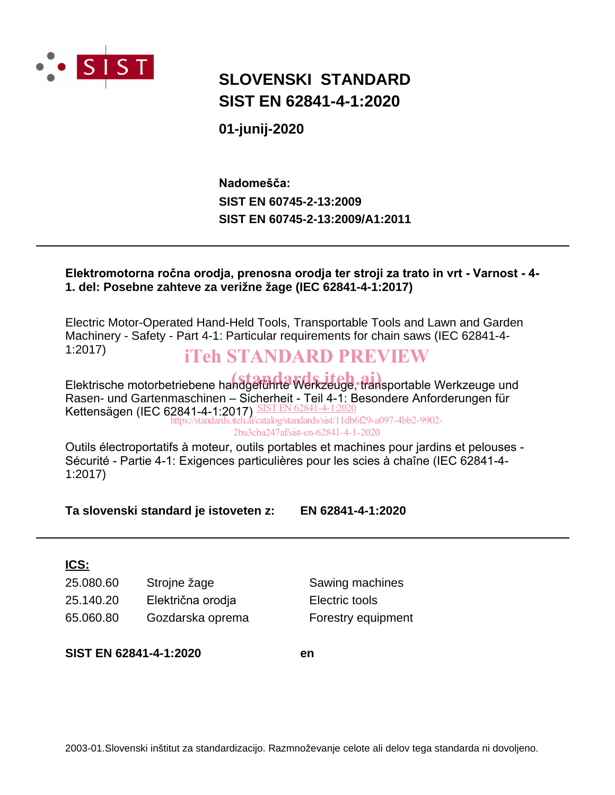

## **SLOVENSKI STANDARD SIST EN 62841-4-1:2020**

**01-junij-2020**

**SIST EN 60745-2-13:2009 SIST EN 60745-2-13:2009/A1:2011 Nadomešča:**

## **Elektromotorna ročna orodja, prenosna orodja ter stroji za trato in vrt - Varnost - 4- 1. del: Posebne zahteve za verižne žage (IEC 62841-4-1:2017)**

Electric Motor-Operated Hand-Held Tools, Transportable Tools and Lawn and Garden Machinery - Safety - Part 4-1: Particular requirements for chain saws (IEC 62841-4- 1:2017)

## iTeh STANDARD PREVIEW

Elektrische motorbetriebene handgeführte Werkzeuge, fransportable Werkzeuge und Rasen- und Gartenmaschinen – Sicherheit - Teil 4-1: Besondere Anforderungen für Kettensägen (IEC 62841-4-1:2017) SIST EN 62841-4-1:2020

https://standards.iteh.ai/catalog/standards/sist/11db6f29-a097-4bb2-9902- 2ba3cba247af/sist-en-62841-4-1-2020

Outils électroportatifs à moteur, outils portables et machines pour jardins et pelouses - Sécurité - Partie 4-1: Exigences particulières pour les scies à chaîne (IEC 62841-4- 1:2017)

**Ta slovenski standard je istoveten z: EN 62841-4-1:2020**

## **ICS:**

| 25.080.60 | Strojne žage      |
|-----------|-------------------|
| 25.140.20 | Električna orodja |
| 65.060.80 | Gozdarska oprema  |

Sawing machines Electric tools Forestry equipment

**SIST EN 62841-4-1:2020 en**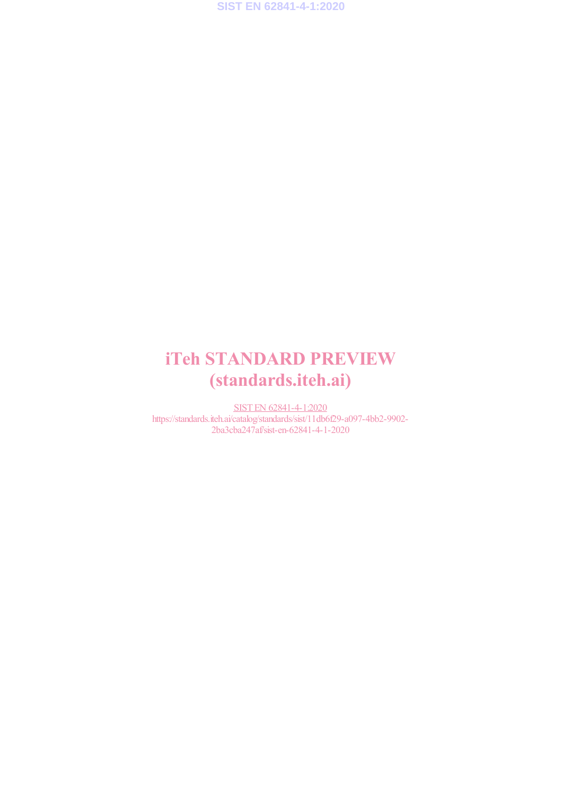# iTeh STANDARD PREVIEW (standards.iteh.ai)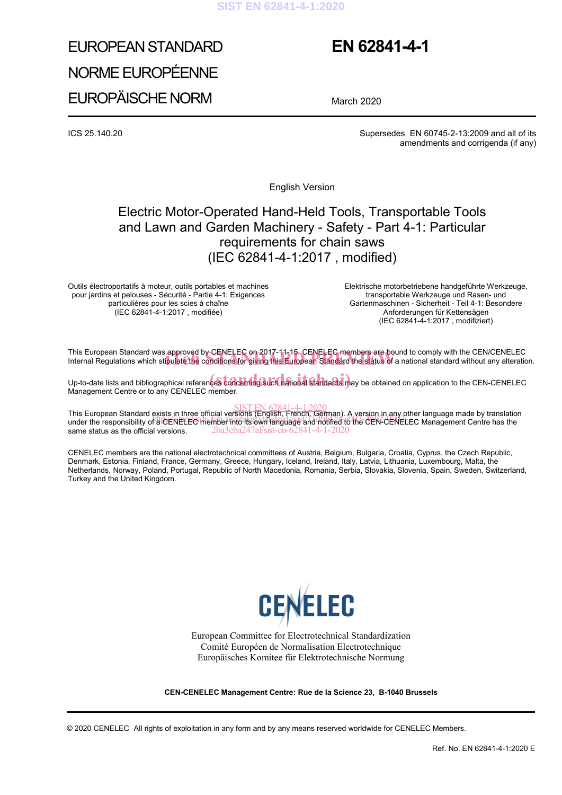#### **SIST EN 62841-4-1:2020**

# EUROPEAN STANDARD NORME EUROPÉENNE EUROPÄISCHE NORM

## **EN 62841-4-1**

March 2020

ICS 25.140.20 Supersedes EN 60745-2-13:2009 and all of its amendments and corrigenda (if any)

English Version

## Electric Motor-Operated Hand-Held Tools, Transportable Tools and Lawn and Garden Machinery - Safety - Part 4-1: Particular requirements for chain saws (IEC 62841-4-1:2017 , modified)

Outils électroportatifs à moteur, outils portables et machines pour jardins et pelouses - Sécurité - Partie 4-1: Exigences particulières pour les scies à chaîne (IEC 62841-4-1:2017 , modifiée)

 Elektrische motorbetriebene handgeführte Werkzeuge, transportable Werkzeuge und Rasen- und Gartenmaschinen - Sicherheit - Teil 4-1: Besondere Anforderungen für Kettensägen (IEC 62841-4-1:2017 , modifiziert)

This European Standard was approved by CENELEC on 2017-11-15. CENELEC members are bound to comply with the CEN/CENELEC This European Standard was approved by CENELEC on 2017-11-15. CENELEC members are bound to comply with the CEN/CENELEC<br>Internal Regulations which sti<mark>pulate the</mark> conditions for giving this European Standard the status of a

Up-to-date lists and bibliographical references concerning such national standards may be obtained on application to the CEN-CENELEC Management Centre or to any CENELEC member.

SIST EN 62841-4-1:2020<br>This European Standard exists in three official versions (English, French, German). A version in any other language made by translation This European Standard Exists in three onicial versions (English, Tench, Sennan). A version in any other language made by translation<br>under the responsibility of a CENELEC member into its own language and notified to the C same status as the official versions. 2ba3cba247af/sist-en-62841-4-1-2020

CENELEC members are the national electrotechnical committees of Austria, Belgium, Bulgaria, Croatia, Cyprus, the Czech Republic, Denmark, Estonia, Finland, France, Germany, Greece, Hungary, Iceland, Ireland, Italy, Latvia, Lithuania, Luxembourg, Malta, the Netherlands, Norway, Poland, Portugal, Republic of North Macedonia, Romania, Serbia, Slovakia, Slovenia, Spain, Sweden, Switzerland, Turkey and the United Kingdom.



European Committee for Electrotechnical Standardization Comité Européen de Normalisation Electrotechnique Europäisches Komitee für Elektrotechnische Normung

**CEN-CENELEC Management Centre: Rue de la Science 23, B-1040 Brussels** 

© 2020 CENELEC All rights of exploitation in any form and by any means reserved worldwide for CENELEC Members.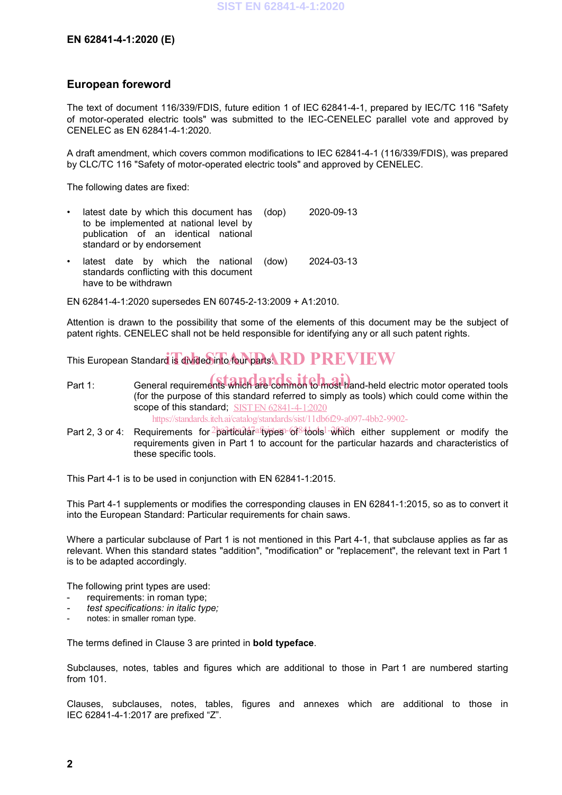### **European foreword**

The text of document 116/339/FDIS, future edition 1 of IEC 62841-4-1, prepared by IEC/TC 116 "Safety of motor-operated electric tools" was submitted to the IEC-CENELEC parallel vote and approved by CENELEC as EN 62841-4-1:2020.

A draft amendment, which covers common modifications to IEC 62841-4-1 (116/339/FDIS), was prepared by CLC/TC 116 "Safety of motor-operated electric tools" and approved by CENELEC.

The following dates are fixed:

| $\bullet$ |  | standard or by endorsement | latest date by which this document has (dop)<br>to be implemented at national level by<br>publication of an identical national | 2020-09-13 |
|-----------|--|----------------------------|--------------------------------------------------------------------------------------------------------------------------------|------------|
|           |  |                            | • latest date by which the national (dow)                                                                                      | 2024-03-13 |

standards conflicting with this document have to be withdrawn

EN 62841-4-1:2020 supersedes EN 60745-2-13:2009 + A1:2010.

Attention is drawn to the possibility that some of the elements of this document may be the subject of patent rights. CENELEC shall not be held responsible for identifying any or all such patent rights.

This European Standard is divided into four parts  ${\bf R}$  D  ${\bf P}\bf{R}\bf{E}\bf{V}\bf{I}\bf{E}\bf{W}$ 

- Part 1: General requirements which are common to most hand-held electric motor operated tools (for the purpose of this standard referred to simply as tools) which could come within the scope of this standard; SIST EN 62841-4-1:2020 https://standards.iteh.ai/catalog/standards/sist/11db6f29-a097-4bb2-9902-
- Part 2, 3 or 4: Requirements for 2 particula alispes 6184 bols  $1 \frac{1}{2}$  which either supplement or modify the requirements given in Part 1 to account for the particular hazards and characteristics of these specific tools.

This Part 4-1 is to be used in conjunction with EN 62841-1:2015.

This Part 4-1 supplements or modifies the corresponding clauses in EN 62841-1:2015, so as to convert it into the European Standard: Particular requirements for chain saws.

Where a particular subclause of Part 1 is not mentioned in this Part 4-1, that subclause applies as far as relevant. When this standard states "addition", "modification" or "replacement", the relevant text in Part 1 is to be adapted accordingly.

The following print types are used:

- requirements: in roman type;
- *- test specifications: in italic type;*
- notes: in smaller roman type.

The terms defined in Clause 3 are printed in **bold typeface**.

Subclauses, notes, tables and figures which are additional to those in Part 1 are numbered starting from 101.

Clauses, subclauses, notes, tables, figures and annexes which are additional to those in IEC 62841-4-1:2017 are prefixed "Z".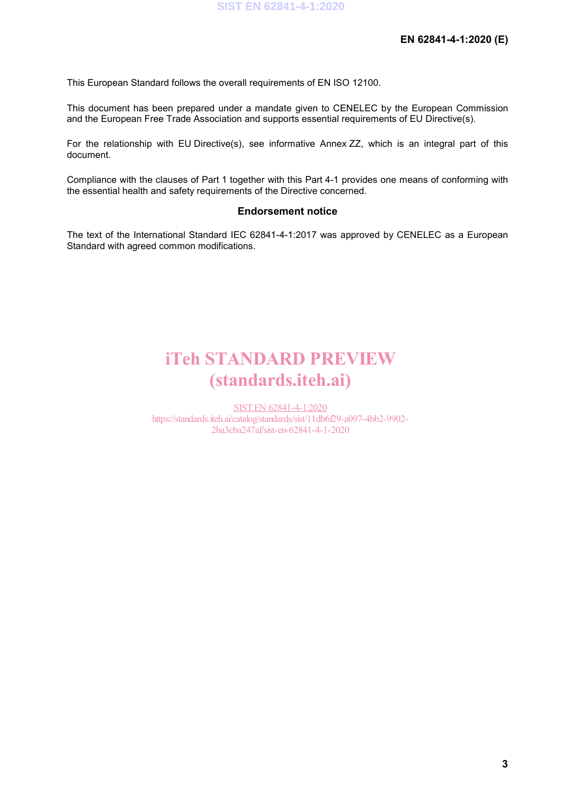This European Standard follows the overall requirements of EN ISO 12100.

This document has been prepared under a mandate given to CENELEC by the European Commission and the European Free Trade Association and supports essential requirements of EU Directive(s).

For the relationship with EU Directive(s), see informative Annex ZZ, which is an integral part of this document.

Compliance with the clauses of Part 1 together with this Part 4-1 provides one means of conforming with the essential health and safety requirements of the Directive concerned.

#### **Endorsement notice**

The text of the International Standard IEC 62841-4-1:2017 was approved by CENELEC as a European Standard with agreed common modifications.

# iTeh STANDARD PREVIEW (standards.iteh.ai)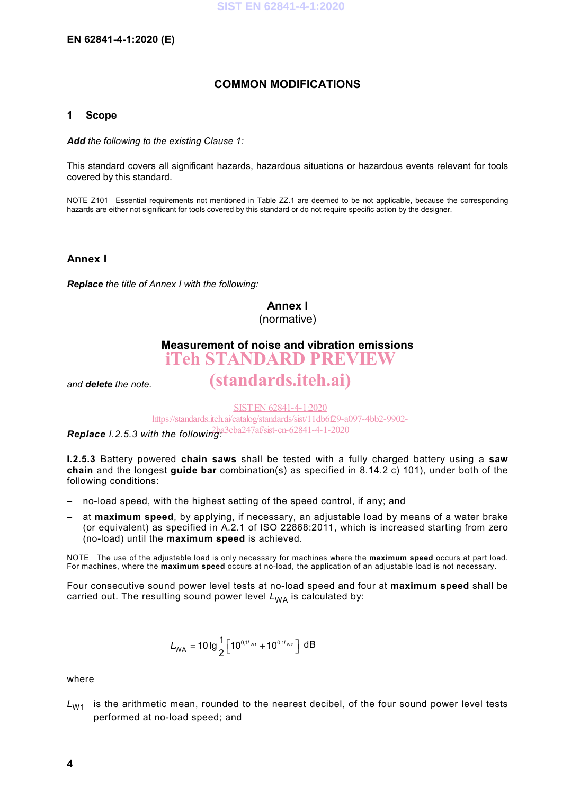## **COMMON MODIFICATIONS**

#### **1 Scope**

*Add the following to the existing Clause 1:*

This standard covers all significant hazards, hazardous situations or hazardous events relevant for tools covered by this standard.

NOTE Z101 Essential requirements not mentioned in Table ZZ.1 are deemed to be not applicable, because the corresponding hazards are either not significant for tools covered by this standard or do not require specific action by the designer.

**Annex I**

*Replace the title of Annex I with the following:*

## **Annex I**

(normative)

## **Measurement of noise and vibration emissions**

iTeh STANDARD PREVIEW

*and delete the note.*

SIST EN 62841-4-1:2020

(standards.iteh.ai)

https://standards.iteh.ai/catalog/standards/sist/11db6f29-a097-4bb2-9902-

**Replace** *I.2.5.3 with the following*.<sup>23cba247af/sist-en-62841-4-1-2020</sup>

**I.2.5.3** Battery powered **chain saws** shall be tested with a fully charged battery using a **saw chain** and the longest **guide bar** combination(s) as specified in 8.14.2 c) 101), under both of the following conditions:

- no-load speed, with the highest setting of the speed control, if any; and
- at **maximum speed**, by applying, if necessary, an adjustable load by means of a water brake (or equivalent) as specified in A.2.1 of ISO 22868:2011, which is increased starting from zero (no-load) until the **maximum speed** is achieved.

NOTE The use of the adjustable load is only necessary for machines where the **maximum speed** occurs at part load. For machines, where the **maximum speed** occurs at no-load, the application of an adjustable load is not necessary.

Four consecutive sound power level tests at no-load speed and four at **maximum speed** shall be carried out. The resulting sound power level  $L_{WA}$  is calculated by:

$$
L_{WA} = 10 \lg \frac{1}{2} \Big[ 10^{0.1L_{W1}} + 10^{0.1L_{W2}} \Big] \ dB
$$

where

 $L_{W1}$  is the arithmetic mean, rounded to the nearest decibel, of the four sound power level tests performed at no-load speed; and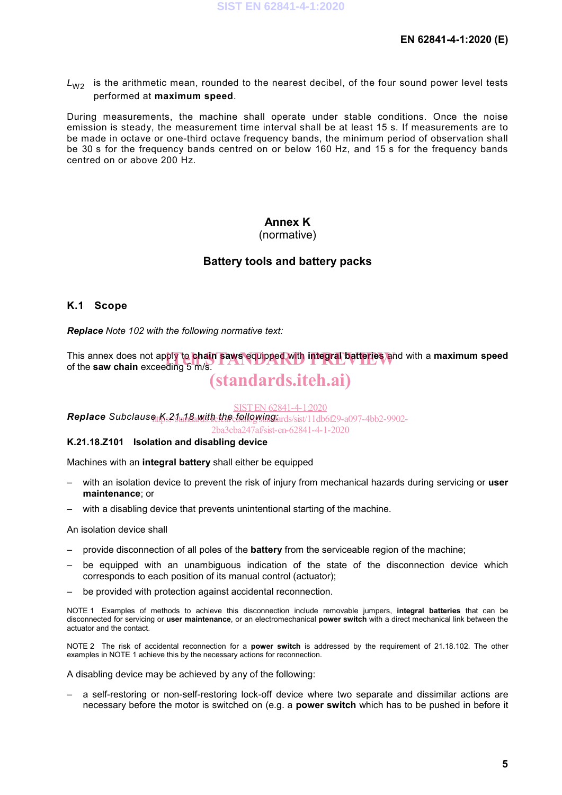$L_{W2}$  is the arithmetic mean, rounded to the nearest decibel, of the four sound power level tests performed at **maximum speed**.

During measurements, the machine shall operate under stable conditions. Once the noise emission is steady, the measurement time interval shall be at least 15 s. If measurements are to be made in octave or one-third octave frequency bands, the minimum period of observation shall be 30 s for the frequency bands centred on or below 160 Hz, and 15 s for the frequency bands centred on or above 200 Hz.

### **Annex K**

#### (normative)

### **Battery tools and battery packs**

#### **K.1 Scope**

*Replace Note 102 with the following normative text:*

This annex does not apply to **chain saws equipped with integral batteries** and with a **maximum speed**<br>of the saw chain exceeding 5 m/s. of the **saw chain** exceeding 5 m/s.

## (standards.iteh.ai)

SIST EN 62841-4-1:2020

*Replace Subclause K.21.18 with the following:* https://standards.iteh.ai/catalog/standards/sist/11db6f29-a097-4bb2-9902-

2ba3cba247af/sist-en-62841-4-1-2020

#### **K.21.18.Z101 Isolation and disabling device**

Machines with an **integral battery** shall either be equipped

- with an isolation device to prevent the risk of injury from mechanical hazards during servicing or **user maintenance**; or
- with a disabling device that prevents unintentional starting of the machine.

#### An isolation device shall

- provide disconnection of all poles of the **battery** from the serviceable region of the machine;
- be equipped with an unambiguous indication of the state of the disconnection device which corresponds to each position of its manual control (actuator);
- be provided with protection against accidental reconnection.

NOTE 1 Examples of methods to achieve this disconnection include removable jumpers, **integral batteries** that can be disconnected for servicing or **user maintenance**, or an electromechanical **power switch** with a direct mechanical link between the actuator and the contact.

NOTE 2 The risk of accidental reconnection for a **power switch** is addressed by the requirement of 21.18.102. The other examples in NOTE 1 achieve this by the necessary actions for reconnection.

A disabling device may be achieved by any of the following:

– a self-restoring or non-self-restoring lock-off device where two separate and dissimilar actions are necessary before the motor is switched on (e.g. a **power switch** which has to be pushed in before it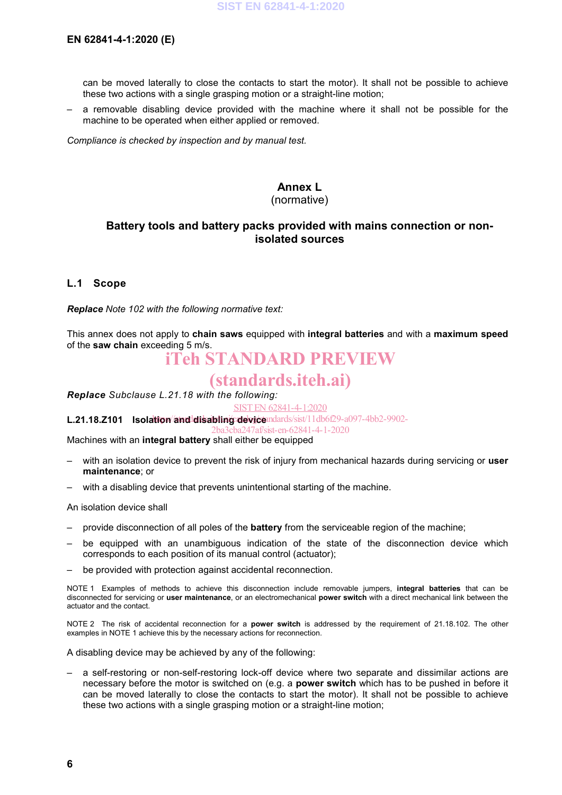can be moved laterally to close the contacts to start the motor). It shall not be possible to achieve these two actions with a single grasping motion or a straight-line motion;

– a removable disabling device provided with the machine where it shall not be possible for the machine to be operated when either applied or removed.

*Compliance is checked by inspection and by manual test.*

## **Annex L**

#### (normative)

### **Battery tools and battery packs provided with mains connection or nonisolated sources**

#### **L.1 Scope**

*Replace Note 102 with the following normative text:*

This annex does not apply to **chain saws** equipped with **integral batteries** and with a **maximum speed**  of the **saw chain** exceeding 5 m/s.

# iTeh STANDARD PREVIEW

## (standards.iteh.ai)

*Replace Subclause L.21.18 with the following:*

SIST EN 62841-4-1:2020

### L.21.18.Z101 **Isolation/and disabling device** adards/sist/11db6f29-a097-4bb2-9902-

2ba3cba247af/sist-en-62841-4-1-2020

Machines with an **integral battery** shall either be equipped

- with an isolation device to prevent the risk of injury from mechanical hazards during servicing or **user maintenance**; or
- with a disabling device that prevents unintentional starting of the machine.

An isolation device shall

- provide disconnection of all poles of the **battery** from the serviceable region of the machine;
- be equipped with an unambiguous indication of the state of the disconnection device which corresponds to each position of its manual control (actuator);
- be provided with protection against accidental reconnection.

NOTE 1 Examples of methods to achieve this disconnection include removable jumpers, **integral batteries** that can be disconnected for servicing or **user maintenance**, or an electromechanical **power switch** with a direct mechanical link between the actuator and the contact.

NOTE 2 The risk of accidental reconnection for a **power switch** is addressed by the requirement of 21.18.102. The other examples in NOTE 1 achieve this by the necessary actions for reconnection.

A disabling device may be achieved by any of the following:

– a self-restoring or non-self-restoring lock-off device where two separate and dissimilar actions are necessary before the motor is switched on (e.g. a **power switch** which has to be pushed in before it can be moved laterally to close the contacts to start the motor). It shall not be possible to achieve these two actions with a single grasping motion or a straight-line motion;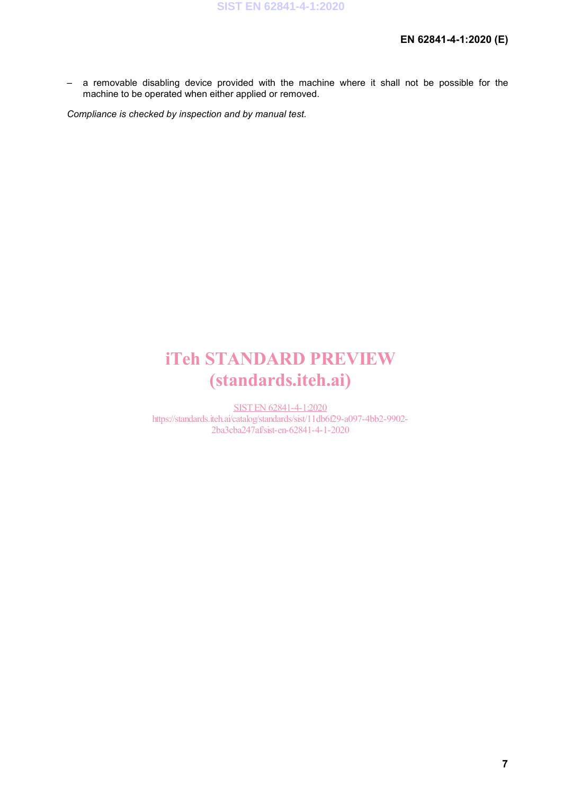– a removable disabling device provided with the machine where it shall not be possible for the machine to be operated when either applied or removed.

*Compliance is checked by inspection and by manual test.*

# iTeh STANDARD PREVIEW (standards.iteh.ai)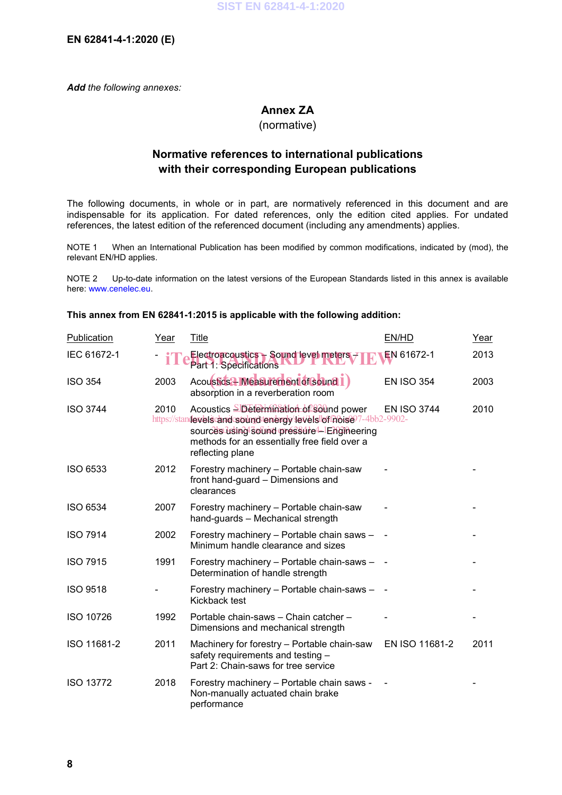**EN 62841-4-1:2020 (E)**

*Add the following annexes:*

## **Annex ZA**

#### (normative)

### **Normative references to international publications with their corresponding European publications**

The following documents, in whole or in part, are normatively referenced in this document and are indispensable for its application. For dated references, only the edition cited applies. For undated references, the latest edition of the referenced document (including any amendments) applies.

NOTE 1 When an International Publication has been modified by common modifications, indicated by (mod), the relevant EN/HD applies.

NOTE 2 Up-to-date information on the latest versions of the European Standards listed in this annex is available here: www.cenelec.eu.

#### **This annex from EN 62841-1:2015 is applicable with the following addition:**

| Publication      | Year | <b>Title</b>                                                                                                                                                                                                                     | EN/HD              | Year |
|------------------|------|----------------------------------------------------------------------------------------------------------------------------------------------------------------------------------------------------------------------------------|--------------------|------|
| IEC 61672-1      |      | Electroacoustics - Sound level meters $\neq$<br>Part 1: Specifications                                                                                                                                                           | EN 61672-1         | 2013 |
| <b>ISO 354</b>   | 2003 | Acoustids 2 Measurement of Sound 1)<br>absorption in a reverberation room                                                                                                                                                        | <b>EN ISO 354</b>  | 2003 |
| <b>ISO 3744</b>  | 2010 | Acoustics SDetermination of Sound power<br>https://standewelscandcsoumd-tenergy/levelsioffhoise97-4bb2-9902-<br>sources using sound pressure 4-1 Engineering<br>methods for an essentially free field over a<br>reflecting plane | <b>EN ISO 3744</b> | 2010 |
| <b>ISO 6533</b>  | 2012 | Forestry machinery - Portable chain-saw<br>front hand-guard - Dimensions and<br>clearances                                                                                                                                       |                    |      |
| <b>ISO 6534</b>  | 2007 | Forestry machinery - Portable chain-saw<br>hand-guards - Mechanical strength                                                                                                                                                     |                    |      |
| <b>ISO 7914</b>  | 2002 | Forestry machinery - Portable chain saws -<br>Minimum handle clearance and sizes                                                                                                                                                 |                    |      |
| <b>ISO 7915</b>  | 1991 | Forestry machinery - Portable chain-saws -<br>Determination of handle strength                                                                                                                                                   |                    |      |
| <b>ISO 9518</b>  |      | Forestry machinery - Portable chain-saws -<br>Kickback test                                                                                                                                                                      |                    |      |
| <b>ISO 10726</b> | 1992 | Portable chain-saws - Chain catcher -<br>Dimensions and mechanical strength                                                                                                                                                      |                    |      |
| ISO 11681-2      | 2011 | Machinery for forestry - Portable chain-saw<br>safety requirements and testing -<br>Part 2: Chain-saws for tree service                                                                                                          | EN ISO 11681-2     | 2011 |
| <b>ISO 13772</b> | 2018 | Forestry machinery - Portable chain saws -<br>Non-manually actuated chain brake<br>performance                                                                                                                                   |                    |      |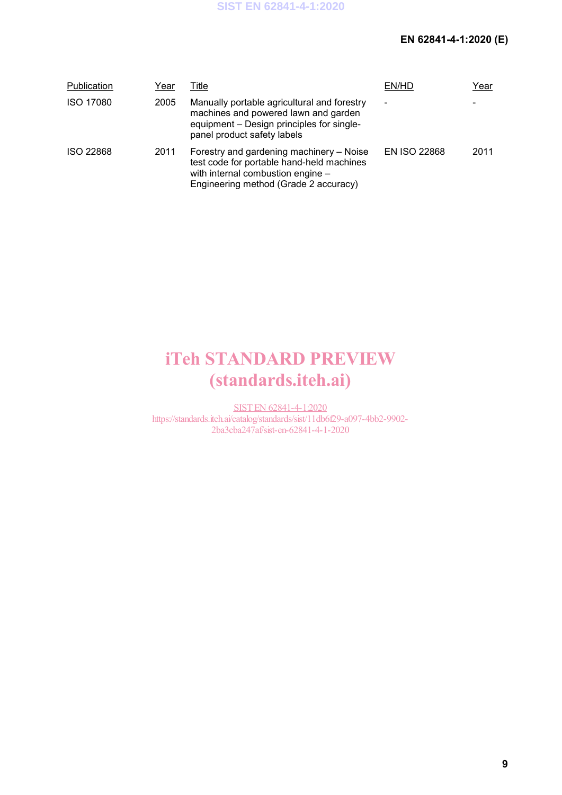## **EN 62841-4-1:2020 (E)**

| Publication      | Year | Title                                                                                                                                                               | EN/HD                    | Year |
|------------------|------|---------------------------------------------------------------------------------------------------------------------------------------------------------------------|--------------------------|------|
| <b>ISO 17080</b> | 2005 | Manually portable agricultural and forestry<br>machines and powered lawn and garden<br>equipment – Design principles for single-<br>panel product safety labels     | $\overline{\phantom{0}}$ |      |
| <b>ISO 22868</b> | 2011 | Forestry and gardening machinery – Noise<br>test code for portable hand-held machines<br>with internal combustion engine -<br>Engineering method (Grade 2 accuracy) | <b>EN ISO 22868</b>      | 2011 |

# iTeh STANDARD PREVIEW (standards.iteh.ai)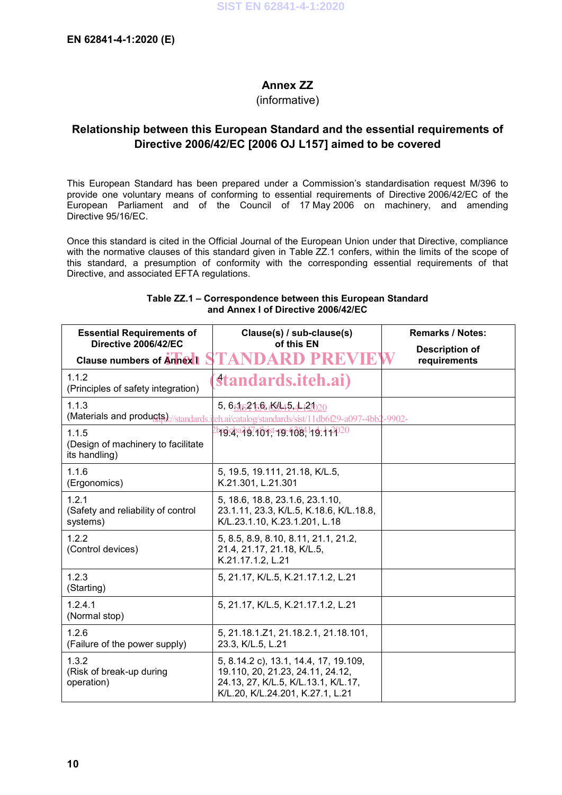## **Annex ZZ**

(informative)

## **Relationship between this European Standard and the essential requirements of Directive 2006/42/EC [2006 OJ L157] aimed to be covered**

This European Standard has been prepared under a Commission's standardisation request M/396 to provide one voluntary means of conforming to essential requirements of Directive 2006/42/EC of the European Parliament and of the Council of 17 May 2006 on machinery, and amending Directive 95/16/EC.

Once this standard is cited in the Official Journal of the European Union under that Directive, compliance with the normative clauses of this standard given in Table ZZ.1 confers, within the limits of the scope of this standard, a presumption of conformity with the corresponding essential requirements of that Directive, and associated EFTA regulations.

| <b>Essential Requirements of</b><br>Directive 2006/42/EC     | Clause(s) / sub-clause(s)<br>of this EN                                                                                                                                                      | <b>Remarks / Notes:</b>               |
|--------------------------------------------------------------|----------------------------------------------------------------------------------------------------------------------------------------------------------------------------------------------|---------------------------------------|
| <b>Clause numbers of Annex 1</b>                             |                                                                                                                                                                                              | <b>Description of</b><br>requirements |
| 1.1.2<br>(Principles of safety integration)                  | standards.iteh.ai)                                                                                                                                                                           |                                       |
| 1.1.3                                                        | 5, $6$ $\frac{1}{2}$ $\frac{1}{6}$ , $\frac{1}{2}$ $\frac{1}{2}$ $\frac{1}{2}$ $\frac{1}{2}$<br>(Materials and products)://standards.iteh.ai/catalog/standards/sist/11db6f29-a097-4bb2-9902- |                                       |
| 1.1.5<br>(Design of machinery to facilitate<br>its handling) | <u>bpg cha2g7atoxist-pg-9084.1-g-1-2020</u>                                                                                                                                                  |                                       |
| 1.1.6<br>(Ergonomics)                                        | 5, 19.5, 19.111, 21.18, K/L.5,<br>K.21.301, L.21.301                                                                                                                                         |                                       |
| 1.2.1<br>(Safety and reliability of control<br>systems)      | 5, 18.6, 18.8, 23.1.6, 23.1.10,<br>23.1.11, 23.3, K/L.5, K.18.6, K/L.18.8,<br>K/L.23.1.10, K.23.1.201, L.18                                                                                  |                                       |
| 1.2.2<br>(Control devices)                                   | 5, 8.5, 8.9, 8.10, 8.11, 21.1, 21.2,<br>21.4, 21.17, 21.18, K/L.5,<br>K.21.17.1.2, L.21                                                                                                      |                                       |
| 1.2.3<br>(Starting)                                          | 5, 21.17, K/L.5, K.21.17.1.2, L.21                                                                                                                                                           |                                       |
| 1.2.4.1<br>(Normal stop)                                     | 5, 21.17, K/L.5, K.21.17.1.2, L.21                                                                                                                                                           |                                       |
| 1.2.6<br>(Failure of the power supply)                       | 5, 21.18.1.Z1, 21.18.2.1, 21.18.101,<br>23.3, K/L.5, L.21                                                                                                                                    |                                       |
| 1.3.2<br>(Risk of break-up during<br>operation)              | 5, 8.14.2 c), 13.1, 14.4, 17, 19.109,<br>19.110, 20, 21.23, 24.11, 24.12,<br>24.13, 27, K/L.5, K/L.13.1, K/L.17,<br>K/L.20, K/L.24.201, K.27.1, L.21                                         |                                       |

#### **Table ZZ.1 – Correspondence between this European Standard and Annex I of Directive 2006/42/EC**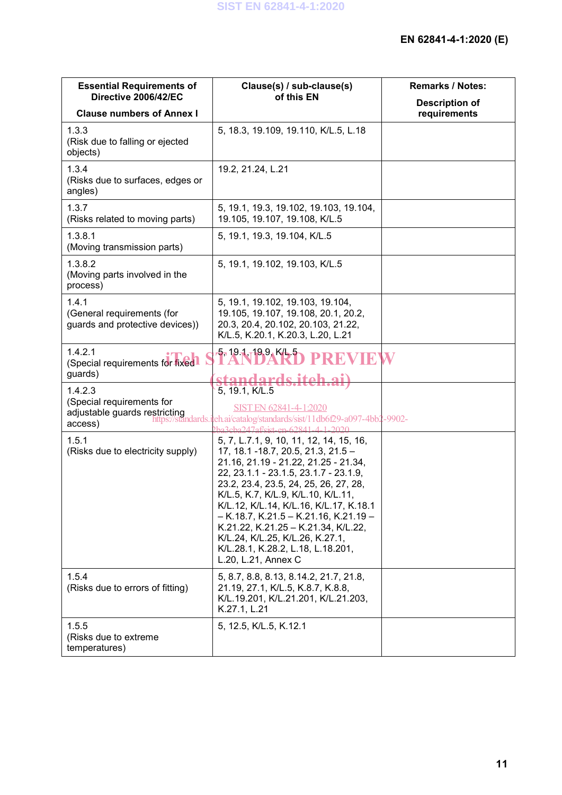| <b>Essential Requirements of</b><br>Directive 2006/42/EC                         | Clause(s) / sub-clause(s)<br>of this EN                                                                                                                                                                                                                                                                                                                                                                                                                                      | <b>Remarks / Notes:</b>               |
|----------------------------------------------------------------------------------|------------------------------------------------------------------------------------------------------------------------------------------------------------------------------------------------------------------------------------------------------------------------------------------------------------------------------------------------------------------------------------------------------------------------------------------------------------------------------|---------------------------------------|
| <b>Clause numbers of Annex I</b>                                                 |                                                                                                                                                                                                                                                                                                                                                                                                                                                                              | <b>Description of</b><br>requirements |
| 1.3.3<br>(Risk due to falling or ejected<br>objects)                             | 5, 18.3, 19.109, 19.110, K/L.5, L.18                                                                                                                                                                                                                                                                                                                                                                                                                                         |                                       |
| 1.3.4<br>(Risks due to surfaces, edges or<br>angles)                             | 19.2, 21.24, L.21                                                                                                                                                                                                                                                                                                                                                                                                                                                            |                                       |
| 1.3.7<br>(Risks related to moving parts)                                         | 5, 19.1, 19.3, 19.102, 19.103, 19.104,<br>19.105, 19.107, 19.108, K/L.5                                                                                                                                                                                                                                                                                                                                                                                                      |                                       |
| 1.3.8.1<br>(Moving transmission parts)                                           | 5, 19.1, 19.3, 19.104, K/L.5                                                                                                                                                                                                                                                                                                                                                                                                                                                 |                                       |
| 1.3.8.2<br>(Moving parts involved in the<br>process)                             | 5, 19.1, 19.102, 19.103, K/L.5                                                                                                                                                                                                                                                                                                                                                                                                                                               |                                       |
| 1.4.1<br>(General requirements (for<br>guards and protective devices))           | 5, 19.1, 19.102, 19.103, 19.104,<br>19.105, 19.107, 19.108, 20.1, 20.2,<br>20.3, 20.4, 20.102, 20.103, 21.22,<br>K/L.5, K.20.1, K.20.3, L.20, L.21                                                                                                                                                                                                                                                                                                                           |                                       |
| 1.4.2.1<br>(Special requirements for fixed.<br>guards)                           | 5, 19.1, 19.9, K/L 5<br>PREVIE<br>standards iteh                                                                                                                                                                                                                                                                                                                                                                                                                             |                                       |
| 1.4.2.3<br>(Special requirements for<br>adjustable guards restricting<br>access) | 5, 19.1, K/L.5<br>SIST EN 62841-4-1:2020<br>/standards.ieh.ai/catalog/standards/sist/11db6f29-a097-4bb2-9902-<br>$247$ af/ejet_en_62841.                                                                                                                                                                                                                                                                                                                                     |                                       |
| 1.5.1<br>(Risks due to electricity supply)                                       | 5, 7, L.7.1, 9, 10, 11, 12, 14, 15, 16,<br>17, 18.1 -18.7, 20.5, 21.3, 21.5 -<br>21.16, 21.19 - 21.22, 21.25 - 21.34,<br>22, 23.1.1 - 23.1.5, 23.1.7 - 23.1.9,<br>23.2, 23.4, 23.5, 24, 25, 26, 27, 28,<br>K/L.5, K.7, K/L.9, K/L.10, K/L.11,<br>K/L.12, K/L.14, K/L.16, K/L.17, K.18.1<br>$-$ K.18.7, K.21.5 $-$ K.21.16, K.21.19 $-$<br>K.21.22, K.21.25 - K.21.34, K/L.22,<br>K/L.24, K/L.25, K/L.26, K.27.1,<br>K/L.28.1, K.28.2, L.18, L.18.201,<br>L.20, L.21, Annex C |                                       |
| 1.5.4<br>(Risks due to errors of fitting)                                        | 5, 8.7, 8.8, 8.13, 8.14.2, 21.7, 21.8,<br>21.19, 27.1, K/L.5, K.8.7, K.8.8,<br>K/L.19.201, K/L.21.201, K/L.21.203,<br>K.27.1, L.21                                                                                                                                                                                                                                                                                                                                           |                                       |
| 1.5.5<br>(Risks due to extreme)<br>temperatures)                                 | 5, 12.5, K/L.5, K.12.1                                                                                                                                                                                                                                                                                                                                                                                                                                                       |                                       |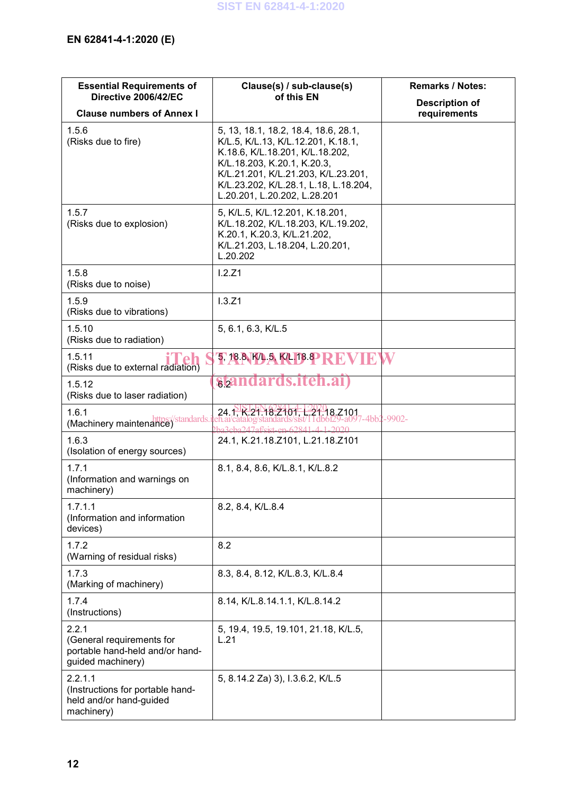| <b>Essential Requirements of</b><br>Directive 2006/42/EC                                   | Clause(s) / sub-clause(s)<br>of this EN                                                                                                                                                                                                                      | <b>Remarks / Notes:</b>               |
|--------------------------------------------------------------------------------------------|--------------------------------------------------------------------------------------------------------------------------------------------------------------------------------------------------------------------------------------------------------------|---------------------------------------|
| <b>Clause numbers of Annex I</b>                                                           |                                                                                                                                                                                                                                                              | <b>Description of</b><br>requirements |
| 1.5.6<br>(Risks due to fire)                                                               | 5, 13, 18.1, 18.2, 18.4, 18.6, 28.1,<br>K/L.5, K/L.13, K/L.12.201, K.18.1,<br>K.18.6, K/L.18.201, K/L.18.202,<br>K/L.18.203, K.20.1, K.20.3,<br>K/L.21.201, K/L.21.203, K/L.23.201,<br>K/L.23.202, K/L.28.1, L.18, L.18.204,<br>L.20.201, L.20.202, L.28.201 |                                       |
| 1.5.7<br>(Risks due to explosion)                                                          | 5, K/L.5, K/L.12.201, K.18.201,<br>K/L.18.202, K/L.18.203, K/L.19.202,<br>K.20.1, K.20.3, K/L.21.202,<br>K/L.21.203, L.18.204, L.20.201,<br>L.20.202                                                                                                         |                                       |
| 1.5.8<br>(Risks due to noise)                                                              | 1.2.21                                                                                                                                                                                                                                                       |                                       |
| 1.5.9<br>(Risks due to vibrations)                                                         | 1.3.Z1                                                                                                                                                                                                                                                       |                                       |
| 1.5.10<br>(Risks due to radiation)                                                         | 5, 6.1, 6.3, K/L.5                                                                                                                                                                                                                                           |                                       |
| 1.5.11<br>(Risks due to external radiation)                                                | 5, 18.8 K/L.3, K/L.18.8 REVIE                                                                                                                                                                                                                                | W                                     |
| 1.5.12<br>(Risks due to laser radiation)                                                   | standards.iteh.all                                                                                                                                                                                                                                           |                                       |
| 1.6.1<br>(Machinery maintenance) / standards.i                                             | 24. N.R. 21.18, 21.01, 1, 21.18, Z101                                                                                                                                                                                                                        | 7-4bb2-9902-                          |
| 1.6.3<br>(Isolation of energy sources)                                                     | 24.1, K.21.18.Z101, L.21.18.Z101                                                                                                                                                                                                                             |                                       |
| 1.7.1<br>(Information and warnings on<br>machinery)                                        | 8.1, 8.4, 8.6, K/L.8.1, K/L.8.2                                                                                                                                                                                                                              |                                       |
| 1.7.1.1<br>(Information and information<br>devices)                                        | 8.2, 8.4, K/L.8.4                                                                                                                                                                                                                                            |                                       |
| 1.7.2<br>(Warning of residual risks)                                                       | 8.2                                                                                                                                                                                                                                                          |                                       |
| 1.7.3<br>(Marking of machinery)                                                            | 8.3, 8.4, 8.12, K/L.8.3, K/L.8.4                                                                                                                                                                                                                             |                                       |
| 1.7.4<br>(Instructions)                                                                    | 8.14, K/L.8.14.1.1, K/L.8.14.2                                                                                                                                                                                                                               |                                       |
| 2.2.1<br>(General requirements for<br>portable hand-held and/or hand-<br>guided machinery) | 5, 19.4, 19.5, 19.101, 21.18, K/L.5,<br>L.21                                                                                                                                                                                                                 |                                       |
| 2.2.1.1<br>(Instructions for portable hand-<br>held and/or hand-guided<br>machinery)       | 5, 8.14.2 Za) 3), I.3.6.2, K/L.5                                                                                                                                                                                                                             |                                       |